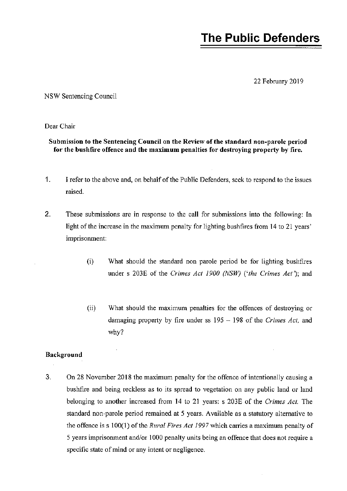# **The Public Defenders**

22 February 2019

NSW Sentencing Council

Dear Chair

#### Submission to the Sentencing Council on the Review of the standard non-parole period for the bushfire offence and the maximum penalties for destroying property by fire.

- 1. I refer to the above and, on behalf of the Public Defenders, seek to respond to the issues raised.
- 2. These submissions are in response to the call for submissions into the following: In light of the increase in the maximum penalty for lighting bushfires from 14 to 21 years' imprisonment:
	- (i) What should the standard non parole period be for lighting bushfires under s 203E of the *Crimes Act 1900 (NSW)* ('*the Crimes Act*'); and
	- (ii) What should the maximum penalties for the offences of destroying or damaging property by fire under ss 195 - 198 of the *Crimes Act,* and why?

#### Background

3. On 28 November 2018 the maximum penalty for the offence of intentionally causing a bushfire and being reckless as to its spread to vegetation on any public land or land belonging to another increased from 14 to 21 years: s 203E of the *Crimes Act.* The standard non-parole period remained at 5 years. Available as a statutory alternative to the offence is s 100(1) of the *Rural Fires Act 1997* which carries a maximum penalty of 5 years imprisonment and/or 1000 penalty units being an offence that does not require a specific state of mind or any intent or negligence.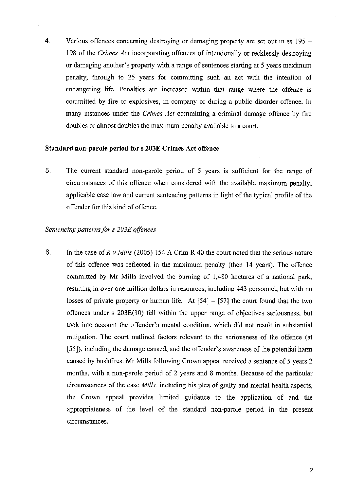4. Various offences concerning destroying or damaging property are set out in ss 195 -198 of the *Crimes Act* incorporating offences of intentionally or recklessly destroying or damaging another's property with a range of sentences starting at 5 years maximum penalty, through to 25 years for committing such an act with the intention of endangering life. Penalties are increased within that range where the offence is committed by fire or explosives, in company or during a public disorder offence. In many instances under the *Crimes Act* committing a criminal damage offence by fire doubles or almost doubles the maximum penalty available to a court.

#### Standard non-parole period for s 203E Crimes Act offence

5. The current standard non-parole period of 5 years is sufficient for the range of circumstances of this offence when considered with the available maximum penalty, applicable case law and current sentencing patterns in light of the typical profile of the offender for this kind of offence.

#### *Sentencing patterns for s 203E offences*

6. In the case of *R* v *Mills* (2005) 154 A Crim R 40 the court noted that the serious nature of this offence was reflected in the maximum penalty (then 14 years). The offence committed by Mr Mills involved the burning of 1,480 hectares of a national park, resulting in over one million dollars in resources, including 443 personnel, but with no losses of private property or human life. At  $[54] - [57]$  the court found that the two offences under s 203E(10) fell within the upper range of objectives seriousness, but took into account the offender's mental condition, which did not result in substantial mitigation. The court outlined factors relevant to the seriousness of the offence (at [55]), including the damage caused, and the offender's awareness of the potential harm caused by bushfires. Mr Mills following Crown appeal received a sentence of 5 years 2 months, with a non-parole period of 2 years and 8 months. Because of the particular circumstances of the case *Mills,* including his plea of guilty and mental health aspects, the Crown appeal provides limited guidance to the application of and the appropriateness of the level of the standard non-parole period in the present circumstances.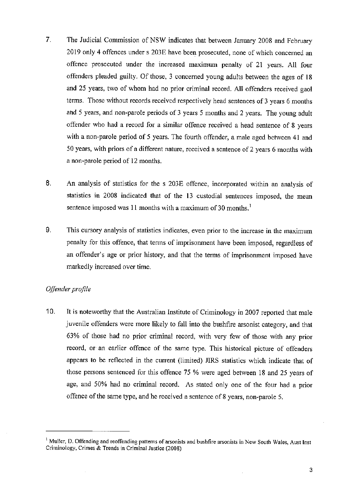- 7. The Judicial Commission of NSW indicates that between January 2008 and February 2019 only 4 offences under s 203E have been prosecuted, none of which concerned an offence prosecuted under the increased maximum penalty of 21 years. All four offenders pleaded guilty. Of those, 3 concerned young adults between the ages of 18 and 25 years, two of whom had no prior criminal record. All offenders received gaol terms. Those without records received respectively head sentences of 3 years 6 months ahd 5 years, and non-parole periods of 3 years 5 months and 2 years. The young adult offender who had a record for a similar offence received a head sentence of 8 years with a non-parole period of 5 years. The fourth offender, a male aged between 41 and 50 years, with priors of a different nature, received a sentence of 2 years 6 months with a non-parole period of 12 months.
- 8. An analysis of statistics for the s 203E offence, incorporated within an analysis of statistics in 2008 indicated that of the 13 custodial sentences imposed, the mean sentence imposed was 11 months with a maximum of 30 months.<sup>1</sup>
- 9. This cursory analysis of statistics indicates, even prior to the increase in the maximum penalty for this offence, that terms of imprisonment have been imposed, regardless of an offender's age or prior history, and that the terms of imprisonment imposed have markedly increased over time.

#### *Offender profile*

10. It is noteworthy that the Australian Institute of Criminology in 2007 reported that male juvenile offenders were more likely to fall into the bushfire arsonist category, and that 63% of those had no prior criminal record, with very few of those with any prior record, or an earlier offence of the same type. This historical picture of offenders appears to be reflected in the current (limited) JIRS statistics which indicate that of those persons sentenced for this offence 75 % were aged between 18 and 25 years of age, and 50% had no criminal record. As stated only one of the four had a prior offence of the same type, and he received a sentence of 8 years, non-parole 5.

<sup>&</sup>lt;sup>1</sup> Muller, D. Offending and reoffending patterns of arsonists and bushfire arsonists in New South Wales, Aust Inst Criminology, Crimes & Trends in Criminal Justice (2008)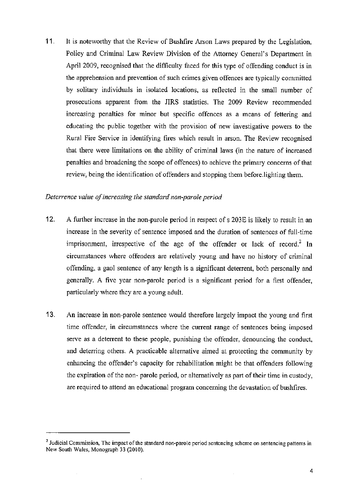11. It is noteworthy that the Review of Bushfire Arson Laws prepared by the Legislation, Policy and Criminal Law Review Division of the Attorney General's Department in April 2009, recognised that the difficulty faced for this type of offending conduct is in the apprehension and prevention of such crimes given offences are typically committed by solitary individuals in isolated locations, as reflected in the small number of prosecutions apparent from the JIRS statistics. The 2009 Review recommended increasing penalties for minor but specific offences as a means of fettering and educating the public together with the provision of new investigative powers *to* the Rural Fire Service in identifying fires which result in arson. The Review recognised that there were limitations on the ability of criminal laws (in the nature of increased penalties and broadening the scope of offences) to achieve the primary concerns of that review, being the identification of offenders and stopping them before lighting them.

#### *Deterrence value of increasing the standard non-parole period*

- 12. A further increase in the non-parole period in respect of s 203E is likely to result in an increase in the severity of sentence imposed and the duration of sentences of full-time imprisonment, irrespective of the age of the offender or lack of record.<sup>2</sup> In circumstances where offenders are relatively young and have no history of criminal offending, a gaol sentence of any length is a significant deterrent, both personally and generally. A five year non-parole period is a significant period for a first offender, particularly where they are a young adult.
- 13. An increase in non-parole sentence would therefore largely impact the young and first time offender, in circumstances where the current range of sentences being imposed serve as a deterrent to these people, punishing the offender, denouncing the conduct, and deterring others. A practicable alternative aimed at protecting the community by enhancing the offender's capacity for rehabilitation might be that offenders following the expiration of the non- parole period, or alternatively as part of their time in custody, are required to attend an educational program concerning the devastation of bushfires.

<sup>&</sup>lt;sup>2</sup> Judicial Commission, The impact of the standard non-parole period sentencing scheme on sentencing patterns in New South Wales, Monograph 33 (2010).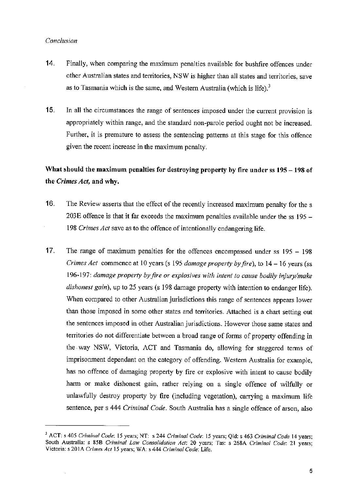#### *Conclusion*

- 14. Finally, when comparing the maximum penalties available for bushfire offences under other Australian states and territories, NSW is higher than all states and territories, save as to Tasmania which is the same, and Western Australia (which is life). $3$
- 15. In all the circumstances the range of sentences imposed under the current provision is appropriately within range, and the standard non-parole period ought not be increased. Further, it is premature to assess the sentencing patterns at this stage for this offence given the recent increase in the maximum penalty.

## What should the maximum penalties for destroying property by fire under ss 195 - 198 of the *Crimes Act,* and why.

- 16. The Review asserts that the effect of the recently increased maximum penalty for the s 203E offence is that it far exceeds the maximum penalties available under the ss 195 - 198 *Cr;mes Act* save as to the offence of intentionally endangering life.
- 17. The range of maximum penalties for the offences encompassed under ss 195 198 *Crimes Act* commence at 10 years (s 195 *damage property by fire),* to 14 - 16 years (ss 196-197: *damage property by fire or explosives with intent to cause bodily injury/make dishonest gain),* up to 25 years (s 198 damage property with intention to endanger life). When compared to other Australian jurisdictions this range of sentences appears lower than those imposed in some other states and territories. Attached is a chart setting out the sentences imposed in other Australian jurisdictions. However those same states and territories do not differentiate between a broad range of forms of property offending in the way NSW, Victoria, ACT and Tasmania do, allowing for staggered terms of imprisonment dependant on the category of offending. Western Australia for example, has no offence of damaging property by fire or explosive with intent to cause bodily harm or make dishonest gain, rather relying on a single offence of wilfully or unlawfully destroy property by fire (including vegetation), carrying a maximum life sentence, per s 444 *Criminal Code.* South Australia has a single offence of arson, also

<sup>3</sup>ACT: s 405 *Criminal Code:* 15 years; NT: s 244 *Criminal Code:* 15 years; Qld: s 463 *Criminal Code* 14 years; South Australia: s 85B *Criminal Law Consolidation Act:* 20 years; Tas: s 268A *Criminal Code:* 21 years; Victoria: s 20 IA *Crimes Act* 15 years; WA: s 444 *Criminal Code:* Life.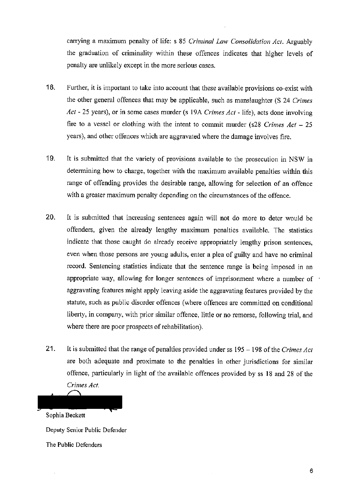carrying a maximum penalty of life: s 85 *Criminal Law Consolidation Act.* Arguably the graduation of criminality within these offences indicates that higher levels of penalty are unlikely except in the more serious cases.

- **18.** Further, it is important to take into account that these available provisions co-exist with the other general offences that may be applicable, such as manslaughter (S 24 *Crimes Act* - 25 years), or in some cases murder (s 19A *Crimes Act* - life), acts done involving fire to a vessel or clothing with the intent to commit murder (s28 *Crimes Act – 25* years), and other offences which are aggravated where the damage involves fire.
- 19. It is submitted that the variety of provisions available to the prosecution in NSW in determining how to charge, together with the maximum available penalties within this range of offending provides the desirable range, allowing for selection of an offence with a greater maximum penalty depending on the circumstances of the offence.
- 20. It is submitted that increasing sentences again will not do more to deter would be offenders, given the already lengthy maximum penalties available. The statistics indicate that those caught do already receive appropriately lengthy prison sentences, even when those persons are young adults, enter a plea of guilty and have no criminal record. Sentencing statistics indicate that the sentence range is being imposed in an appropriate way, allowing for longer sentences of imprisonment where a number of aggravating features might apply leaving aside the aggravating features provided by the statute, such as public disorder offences (where offences are committed on conditional liberty, in company, with prior similar offence, little or no remorse, following trial, and where there are poor prospects of rehabilitation).
- **21.** It is submitted that the range of penalties provided under ss 195 198 of the *Crimes Act*  are both adequate and proximate to the penalties in other jurisdictions for similar offence, particularly in light of the available offences provided by ss 18 and 28 of the *Crimes Act.*

Sophia Beckett Deputy Senior Public Defender

The Public Defenders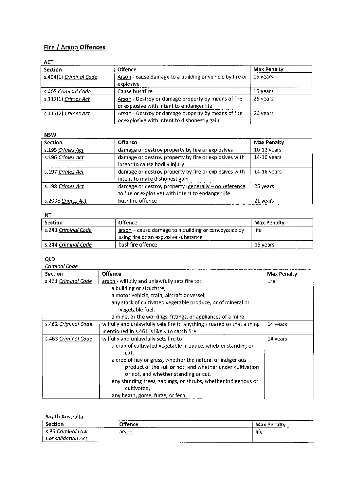### **Fire / Arson Offences**

| 89 L L                 |                                                                                                     |                    |  |
|------------------------|-----------------------------------------------------------------------------------------------------|--------------------|--|
| <b>Section</b>         | <b>Offence</b>                                                                                      | <b>Max Penalty</b> |  |
| s.404(1) Criminal Code | Arson - cause damage to a building or vehicle by fire or<br>explosive                               | 15 years           |  |
| s.405 Criminal Code    | Cause bushfire                                                                                      | 15 years           |  |
| $s.117(1)$ Crimes Act  | Arson - Destroy or damage property by means of fire<br>or explosive with intent to endanger life    | 25 years           |  |
| s.117(2) Crimes Act    | Arson - Destroy or damage property by means of fire<br>or explosive with intent to dishonestly gain | 20 years           |  |

**NSW** 

| <b>Section</b>    | Offence                                                                                                    | Max Penalty   |
|-------------------|------------------------------------------------------------------------------------------------------------|---------------|
| s.195 Crimes Act  | damage or destroy property by fire or explosives                                                           | $10-12$ years |
| s.196 Crimes Act  | damage or destroy property by fire or explosives with<br>intent to cause bodily injury                     | 14-16 years   |
| s.197 Crimes Act  | damage or destroy property by fire or explosives with<br>intent to make dishonest gain                     | $14-16$ years |
| s.198 Crimes Act  | damage or destroy property (generally - no reference<br>to fire or explosive) with intent to endanger life | 25 years      |
| s.203E Crimes Act | bushfire offence                                                                                           | 21 years      |

NT

| Section              | <b>Offence</b>                                      | Max Penalty |
|----------------------|-----------------------------------------------------|-------------|
| -s.243 Criminal Code | arson - cause damage to a building or conveyance by | life        |
|                      | using fire or an explosive substance                |             |
| s.244 Criminal Code  | bushfire offence                                    | 15 vears    |

#### QLD

| <b>Section</b>             | Offence                                                                        | Max Penalty |
|----------------------------|--------------------------------------------------------------------------------|-------------|
| s.461 <u>Criminal Code</u> | arson - wilfully and unlawfully sets fire to:                                  | Life        |
|                            | a building or structure,                                                       |             |
|                            | a motor vehicle, train, aircraft or vessel,                                    |             |
|                            | any stack of cultivated vegetable produce, or of mineral or<br>vegetable fuel, |             |
|                            | a mine, or the workings, fittings, or appliances of a mine                     |             |
| s.462 Criminal Code        | wilfully and unlawfully sets fire to anything situated so that a thing         | 14 years    |
|                            | mentioned in s.461 is likely to catch fire                                     |             |
| s.463 Criminal Code        | wilfully and unlawfully sets fire to:                                          | 14 years    |
|                            | a crop of cultivated vegetable produce, whether standing or                    |             |
|                            | cut,                                                                           |             |
|                            | a crop of hay or grass, whether the natural or indigenous                      |             |
|                            | product of the soil or not, and whether under cultivation                      |             |
|                            | or not, and whether standing or cut,                                           |             |
|                            | any standing trees, saplings, or shrubs, whether indigenous or<br>cultivated.  |             |
|                            | any heath, gorse, furze, or fern                                               |             |

#### **South Australia**

| Section                                                      | Offence<br>------------- | Max Penalty<br>--- |
|--------------------------------------------------------------|--------------------------|--------------------|
| s.85 Criminal Law                                            | arson                    | life               |
| <b>Consolidation Act</b><br>-----<br>---<br>----<br>-------- | ------------<br>--       |                    |